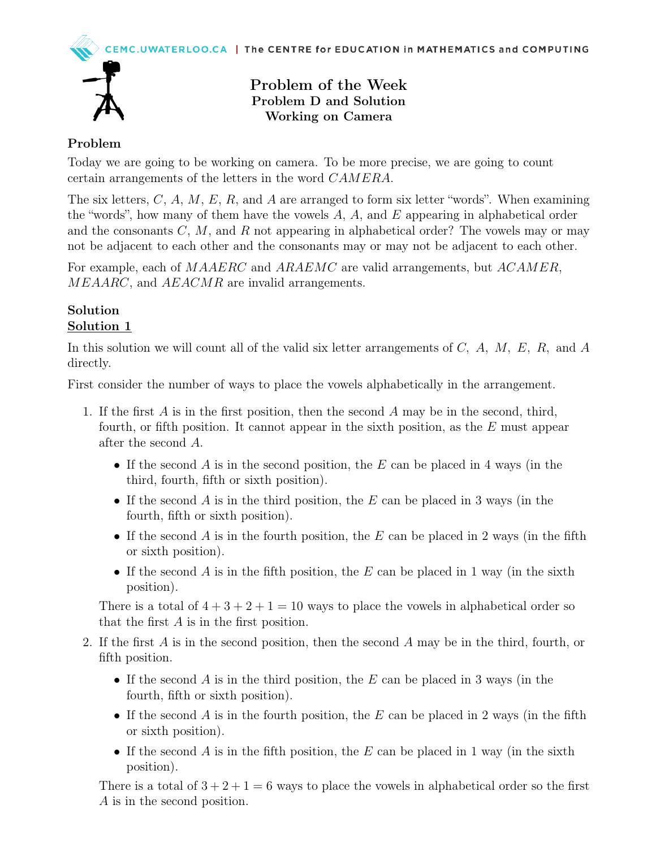

# Problem of the Week Problem D and Solution Working on Camera

# Problem

Today we are going to be working on camera. To be more precise, we are going to count certain arrangements of the letters in the word CAMERA.

The six letters,  $C, A, M, E, R$ , and A are arranged to form six letter "words". When examining the "words", how many of them have the vowels  $A, A$ , and  $E$  appearing in alphabetical order and the consonants  $C, M$ , and R not appearing in alphabetical order? The vowels may or may not be adjacent to each other and the consonants may or may not be adjacent to each other.

For example, each of MAAERC and ARAEMC are valid arrangements, but ACAMER, MEAARC, and AEACMR are invalid arrangements.

#### Solution Solution 1

In this solution we will count all of the valid six letter arrangements of  $C$ ,  $A$ ,  $M$ ,  $E$ ,  $R$ , and  $A$ directly.

First consider the number of ways to place the vowels alphabetically in the arrangement.

- 1. If the first A is in the first position, then the second A may be in the second, third, fourth, or fifth position. It cannot appear in the sixth position, as the E must appear after the second A.
	- If the second A is in the second position, the E can be placed in 4 ways (in the third, fourth, fifth or sixth position).
	- If the second A is in the third position, the E can be placed in 3 ways (in the fourth, fifth or sixth position).
	- If the second A is in the fourth position, the E can be placed in 2 ways (in the fifth or sixth position).
	- If the second A is in the fifth position, the E can be placed in 1 way (in the sixth position).

There is a total of  $4 + 3 + 2 + 1 = 10$  ways to place the vowels in alphabetical order so that the first A is in the first position.

- 2. If the first A is in the second position, then the second A may be in the third, fourth, or fifth position.
	- If the second A is in the third position, the E can be placed in 3 ways (in the fourth, fifth or sixth position).
	- If the second A is in the fourth position, the E can be placed in 2 ways (in the fifth or sixth position).
	- If the second A is in the fifth position, the E can be placed in 1 way (in the sixth position).

There is a total of  $3 + 2 + 1 = 6$  ways to place the vowels in alphabetical order so the first A is in the second position.